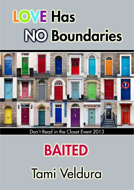# **LOVE Has NO Boundaries**



Don't Read in the Closet Event 2013

# **BAITED** Tami Veldura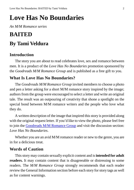## **Love Has No Boundaries**

*An M/M Romance series*

## **BAITED By Tami Veldura**

## **Introduction**

The story you are about to read celebrates love, sex and romance between men. It is a product of the *Love Has No Boundaries* promotion sponsored by the *Goodreads M/M Romance Group* and is published as a free gift to you.

## **What Is Love Has No Boundaries?**

The *Goodreads M/M Romance Group* invited members to choose a photo and pen a letter asking for a short M/M romance story inspired by the image; authors from the group were encouraged to select a letter and write an original tale. The result was an outpouring of creativity that shone a spotlight on the special bond between M/M romance writers and the people who love what they do.

A written description of the image that inspired this story is provided along with the original request letter. If you'd like to view the photo, please feel free to join the [Goodreads M/M Romance Group](http://www.goodreads.com/group/show/20149-m-m-romance) and visit the discussion section: *Love Has No Boundaries*.

Whether you are an avid M/M romance reader or new to the genre, you are in for a delicious treat.

### **Words of Caution**

This story may contain sexually explicit content and is **intended for adult readers.** It may contain content that is disagreeable or distressing to some readers. The *M/M Romance Group* strongly recommends that each reader review the General Information section before each story for story tags as well as for content warnings.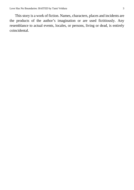This story is a work of fiction. Names, characters, places and incidents are the products of the author's imagination or are used fictitiously. Any resemblance to actual events, locales, or persons, living or dead, is entirely coincidental.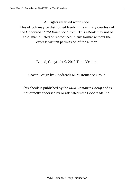All rights reserved worldwide.

This eBook may be distributed freely in its entirety courtesy of the *Goodreads M/M Romance Group*. This eBook may not be sold, manipulated or reproduced in any format without the express written permission of the author.

Baited, Copyright © 2013 Tami Veldura

Cover Design by Goodreads M/M Romance Group

This ebook is published by the *M/M Romance Group* and is not directly endorsed by or affiliated with Goodreads Inc.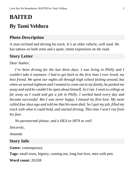## **BAITED By Tami Veldura**

### **Photo Description**

A man reclined and driving his truck. It's an older vehicle, well used. He has tattoos on both arms and a quiet, intent expression on the road.

#### **Story Letter**

*Dear Author*,

*I've been driving for the last three days. I was living in Philly and I couldn't take it anymore. I had to get back to the first man I ever loved, my best friend. We spent our nights all through high school fooling around, but when we turned eighteen and I wanted to come out to my family, he pushed me away and said he couldn't be open about himself. So I ran. I went to college as far away as I could and got a job in Philly. I worked hard every day and became successful. But I was never happy. I missed my first love. My mom called four days ago and told me that his mom died. So I quit my job, filled my truck with what it could hold, and started driving. This time I won't run from his fear.*

*No paranormal please, and a HEA or HFN as well.*

*Sincerely,*

*Amanda*

#### **Story Info**

**Genre:** contemporary

**Tags:** small town, bigotry, coming out, long lost love, men with pets

**Word count:** 20,038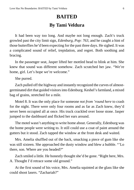## **BAITED By Tami Veldura**

It had been way too long. And maybe not long enough. Zach's truck growled past the city limit sign, *Edenburg, Pop: 763,* and he caught a hint of those butterflies he'd been expecting for the past three days. He sighed. It was a complicated sound of relief, trepidation, and regret. Both soothing and bracing.

In the passenger seat, Jasper lifted her mottled head to blink at him. She knew that sound was different somehow. Zach scratched her jaw. "We're home, girl. Let's hope we're welcome."

She purred.

Zach pulled off the highway and instantly recognized the curves of almostgerminated dirt that guided visitors into Edenburg. Keshel's farmland, a mixed bag of grains, stretched for a mile.

Motel 8. It was the only place for someone *not from 'round here* to crash for the night. There were only four rooms and as far as Zach knew, they'd never been occupied all at once. His truck crackled over loose stone. Jasper jumped to the dashboard and flicked her ears around.

The motel wasn't anything to write home about. Generally, Edenburg was the home people were writing to. It still could use a coat of paint around the gutters but it stood. Zach tapped the window at the front desk and waited.

Mrs. Amelia shuffled out of the back, smacking a piece of gum like she was still sixteen. She approached the dusty window and blew a bubble. "'Lo there, son. Where are you headed?"

Zach smiled a little. He honestly thought she'd be gone. "Right here, Mrs. A. Thought I'd retrace some old ground."

At the first sound of his voice, Mrs. Amelia squinted at the glass like she could shoot lasers. "Zachariah?"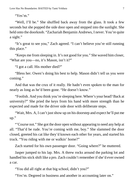Love Has No Boundaries: BAITED by Tami Veldura 7 7

"Yes'm."

"Well, I'll be." She shuffled back away from the glass. It took a few seconds but she popped the side door open and stepped into the sunlight. She held onto the doorknob. "Zachariah Benjamin Andrews, I never. You're quite a sight."

"It's great to see you," Zach agreed. "I can't believe you're still running this place."

"Keeps me from sleeping in. It's not good for you." She waved him closer, "What are you—no, it's Mason, isn't it?"

"I got a call. His mother died?"

"Bless her. Owen's doing his best to help. Mason didn't tell us you were coming."

And that was the crux of it really. He hadn't even spoken to the man for nearly as long as he'd been gone. "He doesn't know."

"Foolish. And you think you're sleeping here. Where's your head? Back at university?" She pried the keys from his hand with more strength than he expected and made for the driver side door with deliberate steps.

"Wait, Mrs. A, I can't just show up on his doorstep and expect he'll put me up."

"'Course not." She got the door open without appearing to need any help at all. "That'd be rude. You're coming with me, boy." She slammed the door closed, greeted his cat like they'd known each other for years, and started his truck. "You riding with me or walkin' home?"

Zach started for his own passenger door. "Going where?" he muttered.

Jasper jumped to his lap. Mrs. A threw rocks around the parking lot and handled his stick shift like a pro. Zach couldn't remember if she'd ever owned a car.

"You did all right at that big school, didn't you?"

"Yes'm. Degreed in business and another in accounting later on."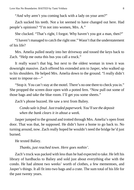"And why aren't you coming back with a lady on your arm?"

Zach sucked his teeth. Not a lot seemed to have changed out here. Had people's opinions? "I'm not into women, Mrs. A."

She clucked. "That's right, I forgot. Why haven't you got a man, then?"

"I haven't managed to catch the right one." Wasn't that the understatement of his life?

Mrs. Amelia pulled neatly into her driveway and tossed the keys back to Zach. "Help me outta this bus you call a truck."

It really wasn't that big, but next to the oldest woman in town it was downright massive. Zach offered his extended arm to Jasper, who walked up to his shoulders. He helped Mrs. Amelia down to the ground. "I really didn't want to impose on—"

"Stop it. You can't stay at the motel. There's no one there to check you in." She propped the screen door open with a potted fern. "Now pull out some of those bags and take the blue room. I'll get you some sheets."

Zach's phone buzzed. He saw a text from Baliey.

*Condo sale is final. Just traded paperwork. You'll see the deposit when the bank clears it in about a week.*

Jasper jumped to the ground and trotted through Mrs. Amelia's open front door. That was that, he supposed. He didn't have a home to go back to. No turning around, now. Zach really hoped he wouldn't need the bridge he'd just burned.

He texted Baliey.

*Thanks, just reached town. Here goes nothin'.*

Zach's truck was packed with less than he had expected to take. He left his library of hardbacks to Baliey and sold just about everything else with the condo. He had almost two weeks' worth of clothes, a few mementoes, and Jasper's things. It all fit into two bags and a crate. The sum total of his life for the past twenty years.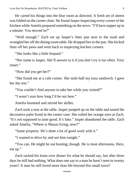He carted his things into the blue room as directed. A fresh set of sheets was folded on the corner chair. He found Jasper inspecting every corner of the kitchen while Amelia prepared something on the stove. "I'll have supper up in a minute. You moved in?"

"Well enough." Zach set up Jasper's litter pan next to the trash and wrangled her off the dining room table. He dropped her in the pan. She kicked litter off her paws and went back to inspecting kitchen corners.

"She looks like a little leopard."

"Her name is Jasper. She'll answer to it if you don't try it too often. Very smart."

"How did you get her?"

"She found me at a cafe corner. She stole half my tuna sandwich. I gave her the rest."

"You couldn't find anyone to take her while you visited?"

"I wasn't sure how long I'd be out here."

Amelia hummed and stirred her skillet.

Zach took a seat at the table. Jasper jumped up on the table and tasted the decorative palm frond in the center vase. She rolled her orange eyes at Zach. "It's not supposed to taste good. It's fake." Jasper abandoned the table. Zach asked Amelia, "Where is Mason living, now?"

"Same property. He's done a lot of good work with it."

"I wanted to drive by and see him tonight."

"You can. He might be out hunting, though. He is most afternoons. Here, eat up."

Zach racked his brain over dinner for what he should say, but after three days he still had nothing. What does one say to a man he hasn't seen in twenty years? A man he still loved more than life beyond this small town?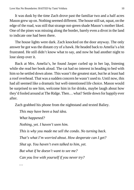It was dusk by the time Zach drove past the familiar two and a half acres Mason grew up on. Nothing seemed different. The house still sat, squat, on the edge of the road, was still that strange not-green shade Mason's mother liked. One of the pines was missing along the border, barely even a divot in the land to indicate one had been there.

The house lights were dark. Zach knocked on the door anyway. The only answer he got was the distant cry of a hawk. He headed back to Amelia's a bit frustrated. He still didn't know what to say, and now he had another night to lose sleep over it.

Back at Mrs. Amelia's, he found Jasper curled up in her lap, listening while she read her book aloud. The cat had no interest in heading to bed with him so he settled down alone. This wasn't the greatest start, but he at least had a roof overhead. That was a sudden concern he wasn't used to. Until now, this had all seemed like a dramatic but well-intentioned life choice. Mason would be surprised to see him, welcome him in for drinks, maybe laugh about how they'd fooled around at The Ridge. Then… what? Settle down for happily ever after.

Zach grabbed his phone from the nightstand and texted Baliey.

*This may have been a bad idea. What happened? Nothing, yet. I haven't seen him. This is why you made me sell the condo. No turning back. That's what I'm worried about. How desperate can I get? Shut up. You haven't even talked to him, yet. But what if he doesn't want to see me? Can you live with yourself if you never try?*

*…*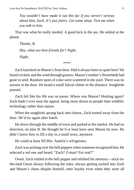*You wouldn't have made it out this far if you weren't serious about him, Zach. It's just jitters. Get some sleep. Text me when you talk to him.*

That was what he really needed. A good kick in the ass. He smiled at the phone.

*Thanks, B. Hey, what are best friends for? Night. Night.*

\*\*\*\*

Zach knocked on Mason's front door. Had it always been so quiet here? He heard crickets and the wind through grasses. Mason's mother's flowerbeds had gone to seed. Random spots of color were scattered in the yard. There was no answer at the door. He heard a small falcon chitter in the distance. Songbirds paused.

Zach felt like his life was on pause. Where was Mason? Hunting again? Zach hadn't ever seen the appeal, being more drawn to people than wildlife; technology rather than nature.

When the songbirds sprang back into chorus, Zach turned away from the door. He'd try again after lunch.

He drove through the middle of town and parked at the market. He had no direction, no plan B. He thought he'd at least have seen Mason by now. He didn't know how to fill a day in a small town, anymore.

He could at least fill Mrs. Amelia's refrigerator.

Zach was picking over the bell peppers when someone recognized him. He selected a red one and heard, "Zach? Z-man? For real?"

Owen. Zach smiled at the bell pepper and relished his memory—stick-inthe-mud Owen always following the rules, always getting sucked into Zach and Mason's chaos despite himself, utter loyalty even when they were all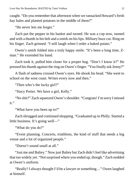caught. "Do you remember that afternoon when we ransacked Howard's fresh hay bales and planted potatoes in the middle of them?"

"He never lets me forget."

Zach put the pepper in his basket and turned. He was a cop now, tanned and with a thumb in his belt and a smirk on his lips. Military buzz cut. Ring on his finger. Zach grinned. "I still laugh when I order a baked potato."

Owen's smirk folded into a truly happy smile. "It's been a long time, Zman." He extended his hand.

Zach took it, pulled him closer for a proper hug. "Don't I know it?" He pressed his thumb against the ring on Owen's finger. "You finally ask Jenny?"

A flash of sadness crossed Owen's eyes. He shook his head. "She went to school on the west coast. Writes every now and then."

"Then who's the lucky girl?"

"Stacy Porter. We have a girl, Kelly."

"No shit?" Zach squeezed Owen's shoulder. "Congrats! I'm sorry I missed it."

"What have you been up to?"

Zach shrugged and continued shopping. "Graduated up in Philly. Started a little business. It's going well—"

"What do you do?"

"Event planning. Concerts, triathlons, the kind of stuff that needs a big venue and a lot of organized people."

"Doesn't sound small at all."

"Just me and Baliey." Now just Baliey but Zach didn't feel like advertising that too widely yet. "Not surprised where you ended up, though." Zach nodded at Owen's uniform.

"Really? I always thought I'd be a lawyer or something…" Owen laughed at himself.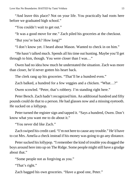"And leave this place? Not on your life. You practically had roots here before we graduated high school."

"You couldn't wait to get out."

"It was a good move for me." Zach piled his groceries at the checkout.

"But you're back? How long?"

"I don't know yet. I heard about Mason. Wanted to check in on him."

"He hasn't talked much. Spends all his time out hunting. Maybe you'll get through to him, though. You were closer than I was…"

Owen had no idea how much he understated the situation. Zach was more than closer, he'd never gotten his heart back.

The clerk rang up his groceries. "That'll be a hundred even."

Zach balked, a hundred for a few veggies and a chicken. "What…?"

Owen scowled. "Peter, that's robbery. I'm standing right here."

Peter Bench. Zach hadn't recognized him. An additional hundred and fifty pounds could do that to a person. He had glasses now and a missing eyetooth. He sucked on a lollypop.

Peter turned the register sign and tapped it. "Says a hundred, Owen. Don't know what you want me to do about it."

"You never did like Zach."

Zach swiped his credit card. "I'm not here to cause any trouble." He'd have to cut Mrs. Amelia a check instead if his money was going to go any distance.

Peter sucked his lollypop. "I remember the kind of trouble you dragged the boys around here into up on The Ridge. Some people might still have a grudge about that."

"Some people not as forgiving as you."

"That's right."

Zach bagged his own groceries. "Have a good one, Peter."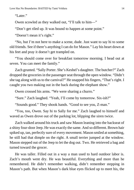"Later."

Owen scowled as they walked out, "I'll talk to him—"

"Don't get riled up. It was bound to happen at some point."

"Doesn't mean it's right."

"No, but I'm not here to make a scene, dude. Just want to say hi to some old friends. See if there's anything I can do for Mason." Lay his heart down at his feet and pray it doesn't get trampled on.

"You should come over for breakfast tomorrow morning. I head out at seven. You can meet the family."

Zach grunted. "Sally Porter. She's Keshel's daughter. The butcher?" Zach dropped the groceries in the passenger seat through the open window. "Didn't she tag along with us to the carnival?" He snapped his fingers, "That's right. I caught you two making out in the back during the elephant show."

Owen crossed his arms. "We were sharing a churro."

"Sure." Zach laughed. "Yeah, I'll come by tomorrow. Six-ish?"

"Sounds good." They shook hands. "Good to see you, Z-man."

"You, too, Owen. Say hi to Sally for me." Zach laughed to himself and waved as Owen drove out of the parking lot, blipping the siren twice.

Zach walked around his truck and saw Mason leaning into the backseat of a shiny four-door Jeep. He was exactly the same. And so different. Brown hair spiked up, tan, perfectly sure of every movement. Mason smiled at something, he still had that dimple on the right. A small terrier jumped at the window. Mason stepped out of the Jeep to let the dog out. Two. He retrieved a bag and turned toward the grocer.

He was taller. Filled out in a way a man used to hard outdoor labor is. Zach's mouth went dry. He was beautiful. Everything and more than he remembered. He didn't remember walking, didn't remember stepping in Mason's path. But when Mason's dark blue eyes flicked up to meet his, the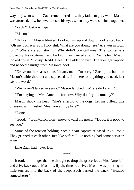way they went wide—Zach remembered how they faded to grey when Mason was aroused, how he never closed his eyes when they were so close together.

"Zach?" Just a whisper.

"Mason"

"Holy shit." Mason blinked. Looked him up and down. Took a step back. "Oh my god, it *is* you. Holy shit. What are you doing here? Are you in town long? Where are you staying? Why didn't you call me?" The two terriers picked up his excitement and barked. They danced around Zach's feet. Mason looked down. "Gossip. Redd. Heel." The older obeyed. The younger yapped and needed a nudge from Mason's boot.

"Drove out here as soon as I heard, man. I'm sorry." Zach put a hand on Mason's wide shoulder and squeezed it. "I'm here for anything you need, just say the word."

"We haven't talked in *years*." Mason laughed. "Where do I start?"

"I'm staying at Mrs. Amelia's for now. Why don't you come by?"

Mason shook his head, "She's allergic to the dogs. Let me offload this pheasant with Keshel. Meet you at my place?"

"Done."

"Good…" But Mason didn't move toward the grocer. "Dude, it is *good* to see you."

Some of the tension holding Zach's heart captive released. "You too." They grinned at each other. Just like before. Like nothing had come between them.

Like Zach had never left.

\*\*\*\*

It took him longer than he thought to drop the groceries at Mrs. Amelia's and drive back out to Mason's. By the time he arrived Mason was pointing his little terriers into the back of the Jeep. Zach parked the truck. "Headed somewhere?"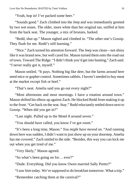"Yeah, hop in! I've packed some beer."

"Sounds good." Zach climbed into the Jeep and was immediately greeted by two wet noses. The older, more white than her original tan, sniffed at him from the back seat. The younger, a mix of bronzes, barked.

"Redd, shut up." Mason sighed and climbed in. "The other one's Gossip. They flush for me. Redd's still learning."

"Nice." Zach turned his attention forward. The Jeep was clean—not shiny like it was brand new, but well cared for. Mason turned them onto the road out of town. Toward The Ridge. "I didn't think you'd get into hunting," Zach said. "I never really got it, myself."

Mason smiled. "It pays. Nothing big like deer, but the farms around here need mice or gopher control. Sometimes rabbits. I haven't needed to buy meat at the market except fish or beef."

"That's neat. Amelia said you go out every night?"

"Most afternoons and most mornings. I have a rotation around town." Mason shifted his elbow up against Zach. He blocked Redd from making it up to the front. "Get back on the seat. Stay." Redd reluctantly settled down next to Gossip. "When did you get in?"

"Last night. Pulled up to the Motel 8 around seven."

"You should have called, you know I've got room."

"It's been a long time, Mason." *You might have moved on.* "And running down here was sudden, I didn't want to just show up on your doorstep. Amelia has me covered." Zach smiled to the side. "Besides, this way you can kick me out when you get tired of me."

"Very likely," Mason agreed.

"So what's been going on for… ever?"

"Dude. Everything. Did you know Owen married Sally Porter?"

"I saw him today. We're supposed to do breakfast tomorrow. What a trip."

"Remember catching them at the carnival?"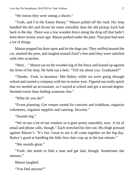"He insists they were eating a churro."

"Yeah, and I'm the Easter Bunny." Mason pulled off the road. His Jeep handled the dirt and divots far more smoothly than the old pickup Zach had back in the day. There was a low wooden fence along the drop off that hadn't been there twenty years ago. Mason parked under the pine. That pine had seen a lot of things.

Mason popped his door open and let the dogs out. They sniffed around the car, marked the pine, and tangled around Zach's feet until they were satisfied with chin scratches.

"Here…" Mason sat on the wooden log of the fence and leaned up against the front of his Jeep. He held out a beer. "Tell me about you. Graduated?"

"Thanks. Yeah, in business. Met Baliey while we were going through school and started a company with her in senior year. Figured out really quick that we needed an accountant, so I stayed at school and got a second degree. Seemed easier than finding someone else."

"What do you do?"

"Event planning. Get venues sorted for concerts and triathlons, organize volunteers, organize supplies and catering. Security."

"Sounds big."

"We re-use a lot of our vendors so it goes pretty smoothly, now. A lot of email and phone calls, though." Zach stretched his feet out. His thigh pressed against Mason's. "It's fun. Great to see it all come together on the big day. Baliey's good at handling the little fires that crop up at the last minute."

"She sounds great."

"Yeah, she needs to find a man and get laid, though. Sometimes she stresses."

Mason laughed.

"You find anyone?"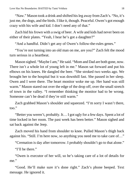"Naw." Mason took a drink and shifted his leg away from Zach's. "No, it's just me, the dogs, and the birds. I like it, though. Peaceful. Owen's got enough crazy with his wife and kid. I don't need any of that."

Zach hid his frown with a swig of beer. A wife and kids had never been on either of their plates. "Yeah, I hear he's got a daughter?"

"And a handful. Didn't get any of Owen's follow-the-rules genes."

"You're not turning into an old man on me, are you?" Zach felt the mood turn serious in a heartbeat.

Mason sighed. "Maybe I am," He said. "Mom and Dad are both gone, now. There isn't a whole lot of young left in me." Mason sat forward and put his elbows on his knees. He dangled the beer. "She stroked two weeks ago. We brought her to the hospital but it was downhill fast. She passed in her sleep. Owen and I were there. The heart monitor woke me up. Her hand was still warm." Mason stared out over the edge of the drop off, over the small stretch of town in the valley. "I remember thinking the monitor had to be wrong. Someone can't be dead if they're still warm."

Zach grabbed Mason's shoulder and squeezed. "I'm sorry I wasn't there, too."

"Better you weren't, probably. It… I got ugly for a few days. Spent a lot of time locked in her room. The past week has been better." Mason sighed and sat back against the Jeep.

Zach moved his hand from shoulder to knee. Pulled Mason's thigh back against his. "Still. I'm here now, so anything you need me to take care of…"

"Cremation is day after tomorrow. I probably shouldn't go to that alone."

"I'll be there."

"Owen is executor of her will, so he's taking care of a lot of details for me."

"Good. He'll make sure it's done right." Zach's phone beeped. Text message. He ignored it.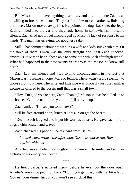But Mason didn't have anything else to say and after a minute Zach was unwilling to break the silence. They sat for a few more heartbeats, finishing their beer. Mason moved away first. He pointed the dogs back into the Jeep. Zach climbed into the car and they rode home in somewhat comfortable silence. Zach tried not to feel discouraged by Mason's lack of response to his hands. The man was grieving, for goodness sake.

Still. That comment about not wanting a wife and kids stuck with him. Of the three of them, Owen was the only straight one. Last Zach checked, anyway. But Mason hadn't been able to come out with Zach after high school. What had happened in the past twenty years? Was the Mason he knew still here?

Zach kept his silence and tried to find encouragement in the fact that Mason wasn't seeing anyone. Male or female. There wasn't a big selection to choose from out here. The wife and kids line was probably just the familiar excuse he offered to the gossip mill that was a small town.

"Hey, I'm glad you're here, Zach. Thanks," Mason said as he pulled up to his house. "Call me next time, you idiot. I'll put you up."

Zach smiled. "I'll see you tomorrow?"

"I'll be free around noon, lunch at Joe's? You get the beer."

"Deal." Zach laughed and it put his worries at ease. He gave each of the dogs a chin scratch and waved.

Zach checked his phone. The text was from Baliey.

*Landed a new project this afternoon. Obstacle course/run. Have a drink with me!*

Attached was a photo of a shot glass full of amber. He smiled and sent her a photo of his empty beer bottle.

\*\*\*\*

He heard Jasper's irritated meow before he ever got the door open. Amelia's voice snapped right back, "Don't you get fussy with me, little lady. You eat your dinner first or you won't see a lick of this."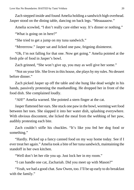Zach stepped inside and found Amelia holding a sandwich high overhead. Jasper stood on the dining table, dancing on back legs. "Meaaaaaow."

Amelia scowled, "I don't really care either way. It's dinner or nothing."

"What is going on in here?"

"She tried to get a jump on my tuna sandwich."

"Mrrerrrow." Jasper sat and licked one paw, feigning disinterest.

"Oh, I'm not falling for that one. Now get going." Amelia pointed at the fresh pile of food in Jasper's bowl.

Zach grinned, "She won't give up, you may as well give her some."

"Not on your life. She lives in this house, she plays by my rules. No dessert before dinner."

Zach picked Jasper up off the table and she hung like dead weight in his hands, passively protesting the manhandling. He dropped her in front of the food dish. She complained loudly.

"AH!" Amelia warned. She pointed a stern finger at the cat.

Jasper flattened her ears. She stuck one paw in the bowl, worming wet food between her toes. She slapped it into her water dish, splashing everywhere. With obvious discontent, she licked the meal from the webbing of her paw, audibly protesting each bite.

Zach couldn't stifle his chuckles. "It's like you fed her dog food or something."

"Hardly. Picked up a fancy canned food on my way home today. See if I ever treat her again." Amelia took a bite of her tuna sandwich, maintaining the standoff in her own kitchen.

"Well don't let her rile you up. Just lock her in my room."

"I can handle one cat, Zachariah. Did you meet up with Mason?"

"Yeah, we had a good chat. Saw Owen, too. I'll be up early to do breakfast with the family."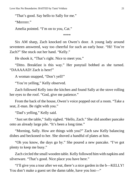"That's good. Say hello to Sally for me."

"Mrrrrrrr"

Amelia pointed. "I'm on to you, Cat."

\*\*\*\*

Six AM sharp, Zach knocked on Owen's door. A young lady around seventeen answered, way too cheerful for such an early hour. "Hi! You're Zach?" She stuck out her hand. "Kelly."

He shook it, "That's right. Nice to meet you."

"Ditto. Breakfast is this way." Her ponytail bobbed as she turned. "DAAAAAD! Zach is here!"

A woman snapped, "Don't yell!"

"You're yelling," Kelly observed.

Zach followed Kelly into the kitchen and found Sally at the stove rolling her eyes to the roof. "God, give me patience."

From the back of the house, Owen's voice popped out of a room. "Take a seat, Z-man. Be right with you."

"Dad's yelling," Kelly said.

"Just set the table," Sally sighed. "Hello, Zach." She slid another pancake onto an already large pile. "It's been a long time."

"Morning, Sally. How are things with you?" Zach saw Kelly balancing dishes and beckoned to her. She shoved a handful of plates at him.

"Oh you know, the days go by." She poured a new pancake. "I've got plenty to keep me busy."

Zach circled the small wooden table. Kelly followed him with napkins and silverware. "That's good. Nice place you have here."

"I'll give you a tour after we eat, there's a nice garden in the b—KELLY! You don't make a guest set the damn table, have you lost—"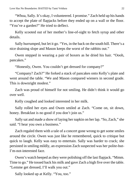"Whoa, Sally. It's okay, I volunteered. I promise." Zach held up his hands to accept the plate of flapjacks before they ended up on a wall or the floor. "You've a garden?" He tried to deflect.

Kelly scooted out of her mother's line-of-sight to fetch syrup and other details.

Sally hurrumped, but let it go. "Yes, in the back on the south hill. There's a nice draining slope and Mason keeps the worst of the rabbits out."

Owen stepped in wearing a pair of boxers as he dried his hair. "Oooh, pancakes."

"Honestly, Owen. You couldn't get dressed for company?"

"Company? Zach?" He forked a stack of pancakes onto Kelly's plate and went around the table. "We and Mason compared wieners in second grade. This is downright modest."

Zach was proud of himself for not smiling. He didn't think it would go over well.

Kelly coughed and looked interested in her milk.

Sally rolled her eyes and Owen smiled at Zach. "Come on, sit down, honey. Breakfast is no good if you don't join us."

Sally sat and made a show of laying her napkin on her lap. "So, Zach," she said. "I hear you own a business."

Zach regaled them with a tale of a concert gone wrong to get some smiles around the circle. Owen was just like he remembered, quick to critique but quick to laugh. Kelly was easy to entertain. Sally was harder to crack; she persisted in smiling mildly, an expression Zach suspected was her polite-but-I'm-not-interested face.

Owen's watch beeped as they were polishing off the last flapjack. "Mmm. Time to go." He tossed back his milk and gave Zach a high five over the table. "Lemme get dressed, I'll walk you out."

Sally looked up at Kelly. "You, too."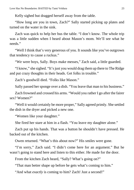Kelly sighed but dragged herself away from the table.

"How long are you in town, Zach?" Sally started picking up plates and turned on the water in the sink.

Zach was quick to help her bus the table. "I don't know. The whole trip was a little sudden when I heard about Mason's mom. We'll see what he needs."

"Well I think that's very generous of you. It sounds like you've outgrown that tendency to cause a ruckus."

"We were boys, Sally. Boys make messes," Zach said, a little guarded.

"I know," she sighed. "It's just you would drag them up there to The Ridge and put crazy thoughts in their heads. Get folks in trouble."

Zach's goodwill died. "Folks like Mason."

Sally passed her sponge over a dish. "You leave that man to his business."

Zach frowned and crossed his arms. "Would you rather I go after the fairer sex? Women?"

"Well it would certainly be more proper," Sally agreed primly. She settled the dish in the dryer and picked a new one.

"Women like your daughter."

She fired her stare at him in a flash. "You leave my daughter alone."

Zach put up his hands. That was a button he shouldn't have pressed. He backed out of the kitchen.

Owen returned. "What's this about now?" His smiles were gone.

"I'm sorry," Zach said. "I didn't come here for an argument." But he wasn't going to stand here and listen to this either. He made for the door.

From the kitchen Zach heard, "Sally? What's going on?"

"That man better shape up before he gets what's coming to him."

"And what *exactly* is coming to him? Zach! Just a second!"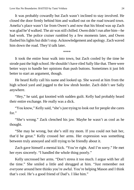It was probably cowardly but Zach wasn't inclined to stay involved. He closed the door firmly behind him and walked out on the road toward town. Amelia's place wasn't far from Owen's and now that his blood was up Zach was glad he'd walked. The air was still chilled. Owen didn't run after him—he had work. The police cruiser rumbled by a few moments later, and Owen flashed his lights but didn't stop. Acknowledgement and apology. Zach waved him down the road. They'd talk later.

\*\*\*\*

It took the entire hour walk into town, but Zach cooled by the time he strode past the high school. He shouldn't have riled Sally like that. There were better ways to handle her opinions than push buttons. Sometimes it just felt better to start an argument, though.

He heard Kelly call his name and looked up. She waved at him from the high school yard and jogged to the low shrub border. Zach didn't see Sally anywhere.

"Hey," he said, gut knotted with sudden guilt. Kelly had probably heard their entire exchange. He really was a dick.

"You know," Kelly said, "she's just trying to look out for people she cares for."

"She's wrong." Zack clenched his jaw. Maybe he wasn't as cool as he thought.

"She may be wrong, but she's still my mom. If you could not bait her, that'd be great." Kelly crossed her arms. Her expression was something between truly annoyed and still trying to be friendly about it.

Zach gave himself a mental kick. "You're right. And I'm sorry." He met her eyes sincerely. "I handled the whole thing poorly."

Kelly uncrossed her arms. "Don't stress it too much. I argue with her all the time." She smiled a little and shrugged at him. "Just remember not *everyone* around here thinks you're awful. You're helping Mason and I think that's cool. He's a good friend of Dad's. I like him."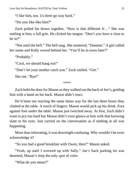"I like him, too. Us three go way back."

"Do you like-like him?"

Zach pulled his brows together, "How is that different fr…" She was smiling at him, a full grin. He clicked his tongue. "Don't you have a class to be in?"

"Not until the bell." The bell rang. She muttered, "Dammit." A girl called her name and Kelly waved behind her. "You'll be in town later?"

```
"Probably."
```
"Cool, we should hang out!"

"Don't let your mother catch you." Zack smiled. "Get."

She ran. "Bye!"

\*\*\*\*

Zach held the door for Mason as they walked out the back of Joe's, guiding him with a hand on his back. Mason didn't react.

He'd been not reacting the same damn way for the last three hours they chatted at the table. A touch of fingers: Mason would pick up his drink. Foot against foot under the table: Mason just twitched away. At first, Zach didn't want to pry too hard but Mason didn't even glance at him with that knowing slant to his eyes. Just carried on the conversation as if nothing at all was happening.

More than infuriating, it was downright confusing. Why wouldn't he even acknowledge it?

"So you had a good breakfast with Owen, then?" Mason asked.

"Yeah, up until I screwed up with Sally." Joe's back parking lot was deserted, Mason's Jeep the only spot of color.

"What do you mean?"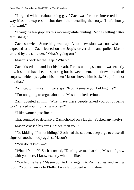"I argued with her about being gay." Zach was far more interested in the way Mason's expression shut down than detailing the story. "I left shortly afterward."

"I caught a few gophers this morning while hunting. Redd is getting better at flushing."

Zach scowled. Something was up. A total evasion was not what he expected at all. Zach leaned on the Jeep's driver door and pulled Mason around by the shoulder. "What's going on?"

Mason's back hit the Jeep. "What?"

Zach kissed him and lost his breath. For a stunning second it was exactly how it should have been—sparking hot between them, an indrawn breath of surprise, wide lips against his—then Mason shoved him back. "Stop. I'm not like that."

Zach caught himself in two steps. "Not like—are you kidding me?"

"I'm not going to argue about it." Mason looked serious.

Zach goggled at him. "What, have these people talked you out of being gay? Talked you into liking women?"

"I like women just fine."

That sounded so defensive, Zach choked on a laugh. "Fucked any lately?"

Mason crossed his arms. "More than you."

"No kidding, I'm not hiding." Zach had the sudden, deep urge to erase all signs of another body against Mason's.

"You don't know—"

"What it's like?" Zach scowled, "Don't give me that shit, Mason. I grew up with you here. I know exactly what it's like."

"You left me here." Mason pointed his finger into Zach's chest and swung it out. "You ran away to Philly. I was left to deal with it alone."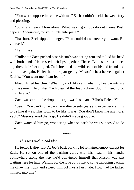"You were supposed to come with me." Zach couldn't decide between fury and pleading.

"Sure, and leave Mom alone. What was I going to do out there? Push papers? Accounting for your little enterprise?"

That hurt. Zack tipped to anger. "You could do whatever you want. Be yourself."

"I am myself."

"Bullshit." Zach pushed past Mason's wandering arm and stilled his head with both hands. He pressed their lips together. Chests. Bellies, groins, knees together, their feet tangled. Zach breathed the wild scent of his old friend and fell in love again. He let their kiss part gently. Mason's chest heaved against Zach's. "You want me. I can feel it."

Mason lifted his chin. "What my dick likes and what my heart wants are not the same." He pushed Zach clear of the Jeep's driver door. "I need to go hunt Helena."

Zach was certain the drop in his gut was his heart. "Who's Helena?"

"See… You can't come back here after twenty years and expect everything to be like it was. This town to be like it was. You don't know me anymore, Zach." Mason started the Jeep. He didn't wave goodbye.

Zach watched him go, wondering what on earth he was supposed to do now.

\*\*\*\*

#### *This was such a bad idea.*

He texted Baliey. Eat At Joe's back parking lot remained empty except for Zach. He sat on one of the parking curbs with his head in his hands. Somewhere along the way he'd convinced himself that Mason was just waiting here for him. Waiting for the love of his life to come galloping back in his off-white truck and sweep him off like a fairy tale. How had he talked himself into this?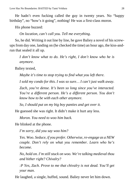He hadn't even fucking called the guy in twenty years. No "happy birthday", no "how's it going", nothing! He was a first-class moron.

His phone buzzed:

*On location, can't call you. Tell me everything*.

So, he did. Writing it out line by line, he gave Baliey a novel of his screwups from day one, landing on (he checked the time) an hour ago, the kiss-andrun that sealed it all up.

*I don't know what to do. He's right, I don't know who he is anymore.*

Baliey texted,

*Maybe it's time to stop trying to find what you left there.*

*I sold my condo for this. I was so sure… I can't just walk away.*

*Zach, you're dense. It's been so long since you've interacted. You're a different person. He's a different person. You don't know how to be with each other anymore.*

*So, I should put on my big boy panties and get over it.*

He guessed she was right. It didn't make it hurt any less.

*Moron. You need to woo him back.*

He blinked at the phone.

*I'm sorry, did you say woo him?*

*Yes. Woo. Seduce, if you prefer. Otherwise, re-engage as a NEW couple. Don't rely on what you remember. Learn who he's become.*

*No, hold on. I'm still stuck on woo. We're talking medieval thou and hither right? Chivalry?*

*:P Yes, Zach. Prove to me that chivalry is not dead. You'll get your man.*

He laughed, a single, huffed, sound. Baliey never let him down.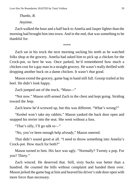Love Has No Boundaries: BAITED by Tami Veldura 29

## *Thanks, B. Anytime.*

Zach walked the hour and a half back to Amelia and Jasper lighter than the morning had brought him into town. And in the end, that was something to be thankful for.

\*\*\*\*

Zach sat in his truck the next morning sucking his teeth as he watched folks shop at the grocery. Amelia had asked him to pick up a chicken for the Crock-pot, so here he was. Once parked, he'd remembered how much a chicken cost for a gay man in a straight grocery. He wasn't really thrilled with dropping another buck on a damn chicken. It wasn't *that* good.

Mason exited the grocery, game bag in hand still full. Gossip trailed at his heel. He didn't look happy.

Zach jumped out of the truck, "Maso—"

"Not now." Mason stiff-armed Zach in the chest and kept going. Striding toward the Jeep.

Zach knew he'd screwed up, but this was different. "What's wrong?"

"Keshel won't take my rabbits." Mason yanked the back door open and snapped his terrier into the seat. She went without a fuss.

"That's silly, I'll go talk to—"

"No, you've been enough help *already,*" Mason sneered.

That didn't sound good at all. "I need to throw something into Amelia's Crock-pot. How much for both?"

Mason turned to him. His face was ugly. "Normally? Twenty a pop. For you? Thirty."

Zach winced. He deserved that. Still, sixty bucks was better than a hundred. He counted the bills without complaint and handed them over. Mason jerked the game bag at him and heaved his driver's side door open with more force than necessary.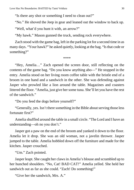"Is there any shot or something I need to clean out?"

"No." He shoved the Jeep in gear and leaned out the window to back up.

"Well, what'd you hunt it with, an arrow?"

"My hawk." Mason gunned the truck, sending rock everywhere.

Zach stood with the game bag, left in the parking lot for a second time in as many days. "Your hawk?" he asked quietly, looking at the bag. "Is that code or something?"

\*\*\*\*

"Hey, Amelia…" Zach opened the screen door, still reflecting on the contents of the game bag. "Do you know anything abo—" He stopped in the entry. Amelia stood on her living room coffee table with the bristle end of a broom in one hand and a sandwich in the other. She was defending against Jasper who prowled like a lion around the table. Magazines and coasters littered the floor. "Amelia, just give her some tuna. She'll let you have the rest of the sandwich."

"Do you feed the dogs before yourself?"

"Generally, yes. Isn't there something in the Bible about serving those less fortunate first?"

Amelia shuffled around the table in a small circle. "The Lord and I have an understanding—oh no you don't."

Jasper got a paw on the end of the broom and yanked it down to the floor. Amelia let it drop. She was an old woman, not a javelin thrower. Jasper jumped to the table. Amelia hobbled down off the furniture and made for the kitchen. Jasper crouched.

"Um." Zach pointed.

Jasper leapt. She caught her claws in Amelia's blouse and scrambled up to her hunched shoulders. "No, Cat! BAD CAT!" Amelia yelled. She held her sandwich out as far as she could. "Zach! Do something!"

"Give her the sandwich, Mrs. A."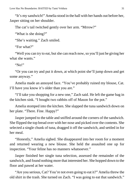"It's my sandwich!" Amelia stood in the hall with her hands out before her, Jasper sitting on her shoulder.

The cat's tail twitched gently over her arm. "Mrrow?"

"What is she doing?"

"She's waiting." Zach smiled.

"For what?"

"Well you can try to eat, but she can reach now, so you'll just be giving her what she wants."

"No!"

"Or you can try and put it down, at which point she'll jump down and get some anyway."

Amelia made an annoyed face. "You've probably ruined my blouse, Cat. I'll have you know it's older than you are."

"I'll take you shopping for a new one," Zach said. He left the game bag in the kitchen sink. "I bought two rabbits off of Mason for the pot."

Amelia stomped into the kitchen. She slapped the tuna sandwich down on her plate. "There. Fine. Happy?"

Jasper jumped to the table and sniffed around the corners of the sandwich. She flipped the top bread over with her nose and picked over the contents. She selected a single chunk of tuna, dragged it off the sandwich, and settled in for her meal.

"Honestly," Amelia sighed. She disappeared into her room for a moment and returned wearing a new blouse. She held the assaulted one up for inspection. "Your feline has no manners whatsoever."

Jasper finished her single tuna selection, assessed the remainder of the sandwich, and found nothing more that interested her. She hopped down to the floor and pawed at her water.

"Are you serious, Cat? You're not even going to eat it?" Amelia threw the old shirt in the trash. She turned on Zach. "I was going to eat that sandwich."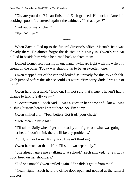"Oh, are you done? I can finish it." Zach grinned. He ducked Amelia's cooking spoon. It clattered against the cabinets. "Is that a yes?"

"Get out of my kitchen!"

"Yes, Ma'am."

\*\*\*\*

When Zach pulled up to the funeral director's office, Mason's Jeep was already there. He almost forgot the daisies on his way in. Owen's cop car pulled in beside him when he turned back to fetch them.

Denied former relationship in one hand, awkward fight with the wife of a friend on the other. Today was shaping up to be an excellent one.

Owen stepped out of the car and looked as unready for this as Zach felt. Zach jumped before the silence could get weird. "I'm sorry, dude. I was out of line."

Owen held up a hand, "Hold on. I'm not sure that's true. I haven't had a chance to talk to Sally yet—"

"Doesn't matter." Zach said. "I was a guest in her home and I knew I was pushing buttons before I went there. So, I'm sorry."

Owen smiled a bit. "Feel better? Got it off your chest?"

"Heh. Yeah, a little bit."

"I'll talk to Sally when I get home today and figure out what was going on in her head. I don't think there will be any problems."

"Still, let her know? Kelly, too. I wasn't thinking."

Owen frowned at that. "Her, I'll sit down separately."

"She already gave me a talking to at school." Zach smirked. "She's got a good head on her shoulders."

"Did she now?" Owen smiled again. "She didn't get it from me."

"Yeah, right." Zach held the office door open and nodded at the funeral director.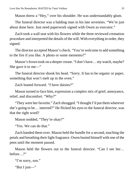Mason threw a "Hey," over his shoulder. He was understandably glum.

The funeral director was a balding man in his late seventies. "We're just about done here. Just need paperwork signed with Owen as executor."

Zach took a wall seat with his flowers while the three reviewed cremation procedure and interpreted the details of the will. With everything in order, they signed.

The director accepted Mason's check. "You're welcome to add something to the fire if you like. A photo or some memento?"

Mason's frown took on a deeper crease. "I don't have… my watch, maybe? She gave it to me—"

The funeral director shook his head. "Sorry. It has to be organic or paper, something that won't melt up in the oven."

Zach leaned forward. "I have daisies?"

Mason turned to face him, expression a complex mix of grief, annoyance, relief, and discomfort. "Why?"

"They were her favorite." Zach shrugged. "I thought I'd put them wherever she's going to be… interred?" He flicked his eyes to the funeral director, was that the right word?

Mason nodded, "They're okay?"

"Yes. We can do that."

Zach handed them over. Mason held the bundle for a second, touching the petals and breathing their light fragrance. Owen busied himself with one of the pens until the moment passed.

Mason held the flowers out to the funeral director. "Can I see her… before ?"

"I'm sorry, son."

"But I just—"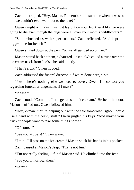Zach interrupted. "Hey, Mason. Remember that summer when it was so hot we couldn't even walk out to the lake?"

Owen caught on. "Yeah, we just lay out on your front yard like we were going to die even though the bugs were all over your mom's wildflowers."

"She ambushed us with super soakers," Zach reflected. "And kept the biggest one for herself."

Owen smiled down at the pen. "So we all ganged up on her."

Mason stared back at them, exhausted, upset. "We called a truce over the ice cream truck from Joe's," he said quietly.

"That's right." Owen nodded.

Zach addressed the funeral director. "If we're done here, sir?"

"Yes. There's nothing else we need to cover. Owen, I'll contact you regarding funeral arrangements if I may?"

"Please."

Zach stood, "Come on. Let's get us some ice cream." He held the door. Mason shuffled out. Owen followed him.

"Hey, Z-man. You're helping out with the sale tomorrow, right? I could use a hand with the heavy stuff." Owen jingled his keys. "And maybe your truck if people want to take some things home."

"Of course."

"See you at Joe's!" Owen waved.

"I think I'll pass on the ice cream." Mason stuck his hands in his pockets.

Zach paused at Mason's Jeep. "That's not fun."

"I'm not really feeling… fun." Mason said. He climbed into the Jeep.

"See you tomorrow, then."

"Later"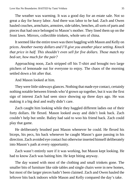The weather was warming. It was a good day for an estate sale. Not so great a day for heavy labor. And there was labor to be had. Zach and Owen hauled couches, armchairs, armoires, side tables, benches, all sorts of parts and pieces that had once belonged to Mason's mother. They lined them up on the front lawn. Mirrors, collectible trinkets, whole sets of china.

It seemed like the entire town was there haggling with Mason and Kelly on prices. *Another twenty dollars and I'll give you another place setting. Knock that price in half. This shouldn't even sell for five dollars. Those match my bed-set, how much for the pair?*

Approaching noon, Zach stripped off his T-shirt and brought two large pitchers of lemonade out for everyone to enjoy. The chaos of the morning settled down a bit after that.

And Mason looked at him.

They were little sideways glances. Nothing that made eye contact, certainly nothing notable between friends who'd grown up together, but it was the first sign of interest Zach had seen since showing up three days ago. He was making it a big deal and really didn't care.

Zach caught him looking while they haggled different ladies out of their forty dollars. He flexed. Mason looked away and didn't look back. Zach couldn't help but smile. Baliey had said to woo his friend back. Zach could play that game.

He deliberately brushed past Mason whenever he could. He flexed his biceps, his pecs, his back whenever he caught Mason's gaze passing in his direction. Zach avoided eye contact but otherwise inserted himself deliberately into Mason's path at every opportunity.

Zach wasn't entirely sure if it was working, but Mason kept looking. He had to know Zach was baiting him. He kept biting anyway.

The day waned with most of the clothing and small trinkets gone. The smaller bits of furniture like side tables and single chairs were in new homes, but most of the larger pieces hadn't been claimed. Zach and Owen hauled the leftover bits back indoors while Mason and Kelly compared the day's take.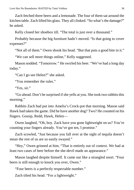Zach fetched three beers and a lemonade. The four of them sat around the kitchen table. Zach lifted his glass. They all clinked. "So what's the damage?" he asked.

Kelly closed her shoebox till. "The total is just over a thousand."

Probably because the big furniture hadn't moved. "Is that going to cover expenses?"

"Not all of them." Owen shook his head. "But that puts a good bite in it."

"We can sell more things online," Kelly suggested.

Mason nodded. "Tomorrow." He swirled his beer. "We've had a long day today."

"Can I go see Helen?" she asked.

"You remember the rules."

"Yes. sir."

"Go ahead. Don't be surprised if she yells at you. She took two rabbits this morning."

Rabbits Zach had put into Amelia's Crock-pot that morning. Mason said Hawk had taken the game. Did he have another dog? Two? He counted on his fingers. Gossip, Redd, Hawk, Helen—

Owen laughed, "Oh, boy. Zack have you gone lightweight on us? You're counting your fingers already. You've got ten, I promise."

Zach scowled, "Just because you fall over at the sight of tequila doesn't mean the rest of us are so easily swayed."

"Hey," Owen grinned at him, "That is entirely out of context. We had at least two cases of beer before the she-devil made an appearance."

Mason laughed despite himself. It came out like a strangled snort. "Four beers is still enough to knock you over, Owen."

"Four beers is a perfectly respectable number."

Zach tilted his head. "For a lightweight."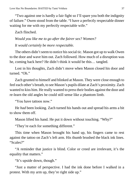"Two against one is hardly a fair fight so I'll spare you both the indignity of failure." Owen stood from the table. "I have a perfectly respectable dinner waiting for me with my perfectly respectable wife."

Zach flinched.

*Would you like me to go after the fairer sex? Women? It would certainly be more respectable.*

The others didn't seem to notice his social tic. Mason got up to walk Owen to the door and wave him out. Zach followed. How much of a disruption was he, coming back here? He didn't think it would be this… tangled.

Lost in his thoughts, Zach didn't move when Mason closed his door and turned. "Oh."

Zach grunted to himself and blinked at Mason. They were close enough to feel each other's breath, to see Mason's pupils dilate at Zach's proximity. Zach wanted to kiss him. He really wanted to press their bodies against the door and re-learn the old angles he could still sense like a phantom limb.

"You have tattoos now."

He *had* been looking. Zach turned his hands out and spread his arms a bit to show them off.

Mason lifted his hand. He put it down without touching. "Why?"

"They're each for something different."

This time when Mason brought his hand up, his fingers came to rest against the tattoo on Zach's left arm. His thumb brushed the black ink lines. "Scales?"

"A reminder that justice is blind. Color or creed are irrelevant, it's the equality that matters."

"It's upside down, though."

"Just a matter of perspective. I had the ink done before I walked in a protest. With my arm up, they're right side up."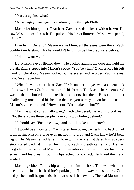"Protest against what?"

"An anti-gay marriage proposition going through Philly."

Mason let him go fast. That hurt. Zach crowded closer with a frown. He saw Mason's breath catch. The pulse in his throat fluttered. Mason whispered, "Stop."

Like hell. "Deny it." Mason wanted him, all the signs were there. Zach couldn't understand why he wouldn't let things be like they were before.

"I don't want you."

But Mason's eyes flicked down. He backed against the door and held his breath. Zach stepped into Mason's space. "You're a liar." Zach braced his left hand on the door. Mason looked at the scales and avoided Zach's eyes. "You're attracted—"

"What do you want to hear, Zach?" Mason met his eyes with an intent look of his own. It was Zach's turn to catch his breath. The Mason he remembered was in there—buried and locked behind doors, but there. He spoke in that challenging tone, tilted his head in that are-you-sure-you-can-keep-up angle. Mason's voice dropped. "How about, 'You make me hot'?"

"Tell me what you actually want," Zach whispered. He felt his blood rush. "Not the excuses these people have you stuck hiding behind."

"I should say, 'Fuck me now,' and that'll make it all better?"

"It would be a nice start." Zach stared him down, daring him to back out of it all again. Mason's blue eyes melted into grey and Zach knew he'd been right. The Mason he had fallen in love with, the one that dared him at every step, stared back at him unflinchingly. Zach's breath came hard. He had forgotten how powerful Mason's full attention could be. It made his blood scream and his chest throb. His lips ached for contact. He licked them and waited.

Mason grabbed Zach's hip and pulled him in close. This was what had been missing in the back of Joe's parking lot. The unwavering sureness. Zach had pushed until he got a kiss but that was all backwards. The real Mason had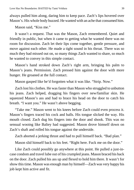always pulled him along, daring him to keep pace. Zach's lips hovered over Mason's. His whole body buzzed. He wanted with an ache that consumed him.

Mason said, "Kiss me."

It wasn't a request. That was the Mason, Zach remembered. Quiet and friendly in public, but when it came to getting what he wanted there was no room for discussion. Zach let their lips come together, gentle pressure, and move against each other. He made a tight sound in his throat. There was so much they had missed out on, so many things Zach wanted to share, so much he wanted to convey in this simple contact.

Mason's hand stroked down Zach's right arm, bringing his palm to Mason's jeans. Permission. Zach pressed him against the door with more hunger. He groaned at the full contact.

Mason gasped like he'd forgotten what it was like. "Strip. Now."

Zach lost his clothes. He was faster than Mason who struggled to unbutton his jeans. Zach helped, dragging his fingers over new/familiar skin. He squeezed Mason's ass and had to brace his head on the door to catch his breath. "I want you." He wasn't above begging.

"Take me." Mason went to his knees before Zach could even process it. Mason's fingers traced his cock and balls. His tongue slicked the way. His mouth closed. Zach dug his fingers into the door and shook. This was no sensual wooing like Baliey had suggested. Mason drove himself down on Zach's shaft and rolled his tongue against the underside.

Zach aborted a jerking thrust and had to pull himself back. "Bad plan."

Mason slid himself back to his feet. "Right here. Fuck me on the door."

Like Zach could possibly go anywhere at this point. He pulled a just-incase condom and travel lube out of his crumpled jeans. Mason braced his back on the door. Zach pulled his ass up and flexed to hold him there. It wasn't for show this time. Mason was enough man by himself—Zach was very happy his job kept him active and fit.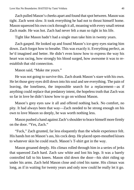Zach pulled Mason's cheeks apart and found that spot between. Mason was tight. Zach went slow. It took everything he had not to thrust himself home. Mason squeezed his own cock through it all, moaning with every small retreat Zach made. He was hot. Zach had never felt a man so tight in his life.

Tight like Mason hadn't had a single man take him in twenty years.

Zach gasped. He looked up and found Mason's ice-grey eyes staring him down. Zach forgot how to breathe. This was exactly it. Everything perfect, as he'd imagined and better. He didn't even know how to express the way his heart was racing, how strongly his blood surged, how awesome it was to reestablish that old connection.

Mason said, "Make me yours."

He was not going to survive this. Zach drank Mason's stare with his own. He let those grey eyes drill down into his soul and see everything. The pain of leaving, the loneliness, the impossible search for a replacement—as if anything could replace that predatory intent, the hopeless truth that Zach was so far in love he didn't know how to go on without Mason.

Mason's grey eyes saw it all and offered nothing back. No comfort, no pity. It had always been that way—Zach needed to be strong enough on his own to love Mason so deeply, he was worth nothing less.

Mason pushed a hand against Zach's shoulder to brace himself more firmly on the door. "Yes, Zach."

"Fuck," Zach grunted, far less eloquently than the whole experience felt. His hands hot on Mason's ass, his cock deep. He placed open-mouthed kisses to whatever skin he could reach. Mason's T-shirt got in the way.

Mason groaned deeply. His climax rolled through him in a series of jerks that squeezed Zach hard. Zach saw white and lost his legs. It was a barely controlled fall to his knees. Mason slid down the door—his shirt riding up under his arms. Zach held Mason close and cried his name. His climax was long, as if in waiting for twenty years and only now could he really let it go.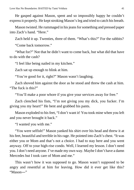He gasped against Mason, spent and so impossibly happy he couldn't express it properly. He kept stroking Mason's leg and tried to catch his breath.

Mason twisted. He rummaged in his jeans for something and pressed paper into Zach's hand. "Here."

Zach held it up. Twenties, three of them. "What's this?" For the rabbits?

"Come back tomorrow."

"What for?" Not that he didn't want to come back, but what did that have to do with the cash?

"I feel like being nailed in my kitchen."

Zach sat up enough to blink at him.

"You're good for it, right?" Mason wasn't laughing.

Zach shoved him against the door as he stood and threw the cash at him. "The fuck is this?"

"You'll make a poor whore if you give your services away for free."

Zach clenched his fists, "I'm not giving you my dick, you fucker. I'm giving you my heart!" He bent and grabbed his pants.

Mason exploded to his feet, "I don't want it! You took mine when you left and you never brought it back."

"I wanted you with me."

"You were selfish!" Mason yanked his shirt over his head and threw it at his feet, beautiful and terrible in his rage. He pointed into Zach's chest. "It was either you or Mom and that's not a choice. I had to stay here and you went anyway. Off to your high-rise condo. Well, I learned my lesson. I don't need you. I don't need anyone. I've made my own way. Maybe I don't have a damn Mercedes but I took care of Mom and me."

This wasn't how it was supposed to go. Mason wasn't supposed to be angry and resentful at him for leaving. How did it ever get like this? "Mason―"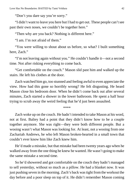"Don't you dare say you're sorry."

"I didn't want to leave you here but I had to get out. These people can't see past their own noses, we couldn't be together here."

"Then why are you back? Nothing is different here."

"I am. I'm not afraid of them."

"You were willing to shout about us before, so what? I built something here, Zach."

"I'm not leaving again without you." He couldn't handle it—not a second time. Not after risking everything to come back.

"Get comfortable on the couch." Mason slid past him and walked up the stairs. He left his clothes at the door.

Zach watched him go, too stunned and feeling awful to even appreciate the view. How had this gone so horribly wrong? He felt disgusting. He heard Mason close his bedroom door. When he didn't come back out after several minutes, Zach started a shower in the lower bathroom. He spent a half hour trying to scrub away the weird feeling that he'd just been assaulted.

\*\*\*\*

Zach woke up on the couch. He hadn't intended to take Mason at his word, not at first. Baliey had a point that they didn't know how to be a couple together anymore. She was right—they were both different people. But a wooing wasn't what Mason was looking for. At least, not a wooing from one Zachariah Andrews, he who left Mason broken-hearted in a small town that couldn't ever know him like Zach knew him.

He'd made a mistake, but that mistake had been twenty years ago when he walked away from the one thing he knew he wanted. He wasn't going to make the same mistake a second time.

So he'd showered and got comfortable on the couch they hadn't managed to sell yesterday, without so much as a pillow. He had a blanket now. It was just pushing seven in the morning. Zach's back was tight from the workout the day before and a poor sleep on top of it. He didn't remember Mason coming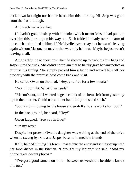back down last night nor had he heard him this morning. His Jeep was gone from the front, though.

And Zach had a blanket.

He hadn't gone to sleep with a blanket which meant Mason had put one over him this morning on his way out. Zach folded it neatly over the arm of the couch and smiled at himself. He'd yelled yesterday that he wasn't leaving again without Mason, but maybe that was only half true. Maybe he just wasn't leaving at all.

Amelia didn't ask questions when he showed up to pack his few bags and Jasper into the truck. She didn't complain that he hardly gave her any notice or criticise his timing. She simply packed him a lunch and waved him off her property with the promise he'd come back and visit.

He called Owen on the road. "Hey, you free for a few hours?"

"Not 'til tonight. What'd ya need?"

"Mason's out, and I wanted to get a chunk of the items left from yesterday up on the internet. Could use another hand for photos and such."

"Sounds dull. Swing by the house and grab Kelly, she works for food."

In the background, he heard, "Hey!"

Owen laughed. "See you in five?"

"On my way."

Despite her protest, Owen's daughter was waiting at the end of the drive when he swung by. She and Jasper became immediate friends.

Kelly helped him lug his few suitcases into the entry and set Jasper up with her food dishes in the kitchen. "I brought my laptop," she said. "And my phone takes decent photos."

"I've got a good camera on mine—between us we should be able to knock this out."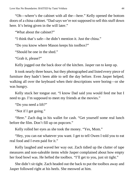"Oh—where's the cabinet with all the—here." Kelly opened the bottom doors of a china cabinet. "Dad says we're not supposed to sell this stuff down here. It's being given in the will later."

"What about the cabinet?"

"I think that's safe—he didn't mention it. Just the china."

"Do you know where Mason keeps his toolbox?"

"Should be one in the shed."

"Grab it, please?"

Kelly jogged out the back door of the kitchen. Jasper ran to keep up.

It took nearly three hours, but they photographed and listed every piece of furniture they hadn't been able to sell the day before. Even Jasper helped; walking all over the keyboard when their descriptions were boring—or she was hungry.

Kelly stuck her tongue out. "I know Dad said you would feed me but I need to go. I'm supposed to meet my friends at the movies."

"Do you need a lift?"

"Not if I get going."

"Here." Zach dug in his wallet for cash. "Get yourself some real lunch before the film. Don't fill up on popcorn."

Kelly rolled her eyes as she took the money. "Yes, Mom."

"Hey, you can eat whatever you want. I get to tell Owen I told you to eat real food and I even paid for it."

Kelly laughed and waved her way out. Zach tidied up the clutter of tape measures and non-saleable items while Jasper complained about how empty her food bowl was. He hefted the toolbox. "I'll get to you, just sit tight."

She didn't sit tight. Zach headed out the back to put the toolbox away and Jasper followed right at his heels. She meowed at him.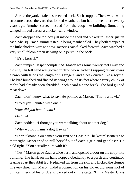Across the yard, a falcon screeched back. Zach stopped. There was a wood structure across the yard that looked weathered but hadn't been there twenty years ago. Another screech issued from the coop-like building. Something winged moved across a chicken-wire window.

Zach dropped the toolbox just inside the shed and picked up Jasper, just in case. She squirmed, uninterested in being manhandled. They both stopped at the little chicken-wire window. Jasper's ears flicked forward. Zach watched a very small falcon preen its wing on a perch in the back.

"It's a kestrel."

Zach jumped. Jasper complained. Mason was some twenty feet away and closing. His left hand was gloved in dark, worn leather. Gripping his wrist was a hawk with talons the length of his fingers, and a beak curved like a scythe. The bird hunched and flicked its wings around its feet where a fuzzy chunk of rabbit had already been shredded. Zach heard a bone break. The bird gulped meat down.

Zach didn't know what to say. He pointed at Mason. "That's a hawk."

"I told you I hunted with one."

*What did you hunt it with?*

*My hawk.*

Zach nodded. "I thought you were talking about another dog."

"Why would I name a dog Hawk?"

"I don't know. You named your first one Gossip." The kestrel twittered to their right. Jasper tried to pull herself out of Zach's grip and get closer. He held tight. "You actually hunt with it?"

"Yes." Mason gave Zach a wide berth and opened a door on the coop-like building. The hawk on his hand hopped obediently to a perch and continued tearing apart the rabbit leg. It plucked fur from the skin and flicked the clumps in every direction. Mason undid a connection on his glove, did some sort of clinical check of his bird, and backed out of the cage. "I'm a Master Class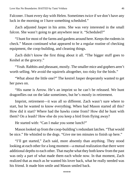Falconer. I hunt every day with Helen. Sometimes twice if we don't have any luck in the morning or I have something scheduled."

Zach adjusted Jasper in his arms. She was very interested in the small falcon. She wasn't going to get anywhere near it. "Scheduled?"

"I hunt for most of the farms and gardens around here. Keeps the rodents in check." Mason continued what appeared to be a regular routine of checking equipment, the coop-building, and cleaning things.

Zach didn't know the first thing about it all. "The bigger stuff goes to Keshel at the grocery."

"Yeah. Rabbits and pheasant, mostly. The smaller mice and gophers aren't worth selling. We avoid the squirrels altogether, too risky for the birds."

"What about the little one?" The kestrel Jasper desperately wanted to get her paws on.

"His name is Arrow. He's an imprint so he can't be released. We hunt dragonflies out on the lake sometimes, but he's mostly in retirement.

Imprint, retirement—it was all so different. Zach wasn't sure where to start, but he wanted to know everything. When had Mason started all this? How did it start? Where had the hawks come from? How did he hunt with them? On a leash? How else do you keep a bird from flying away?

He started with: "Can I make you some lunch?"

Mason looked up from the coop-building's redundant latches. "That would be nice." He whistled to the dogs. "Give me ten minutes to finish up here."

"I'll get started," Zach said, more absently than anything. They stood looking at each other for a long moment—a mutual realization that there were additional depths to each other. That maybe what they both knew from the past was only a part of what made them each whole now. In that moment, Zach realized that as much as he wanted his lover back, what he really needed was his friend. It made him smile and Mason smiled back.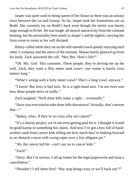Jasper was quite used to being queen of her house so there was an uneasy truce between the cat and Gossip. So far, Jasper took her frustrations out on Redd. She currently lay on Redd's back even though the terrier was barely large enough to fit her. He was tough: all muscle and activity from the constant hunting, but his personality bent easily to Jasper's and he sighed, carrying her from room to room as her will dictated.

Baliey called while they sat on the still-unsold couch quietly enjoying each other's company and the antics of the animals. Mason barely glanced up from his book. Zach answered the call. "Hey Bee. How's life?"

"Oh. My. God. This customer. These people, they're driving me up the wall. Zach, they want a fifty meter mud crawl—our venue is barely sixty meters long."

"What's wrong with a forty meter crawl? That's a long crawl, anyway."

"I know! But forty is bad luck. So is a right-hand turn. I'm not even sure how these people drive in traffic."

Zach laughed, "Well three lefts make a right… eventually."

"Have you ever tried to take three lefts downtown? Actually, don't answer that—"

"Baliey, relax. If they're so crazy why not cancel?"

"It's a charity project, we're not even getting paid for it. I thought it would be good karma or something but, damn. And now I've got a box full of handwritten cards from cancer kids telling me how much they're looking forward to an obstacle course with swing ropes over a live alligator pit."

"Ah, the cancer kid bit—can't say no to cancer kids."

"Zach!"

"Sorry. But I'm serious. Call up James for the legal paperwork and issue a cancellation."

"Shouldn't I tell them first? 'Hey stop being crazy or we'll back out'?"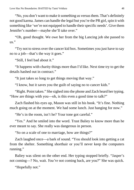"No, you don't want to make it something us versus them. That's definitely not good karma. James can handle the legal but you're the PR girl, spin it with something like 'we're not equipped to handle their specific needs'. Give them Jennifer's number—maybe she'll take over."

"Oh, good thought. We owe her from the big Lancing job she passed to us."

"Try not to stress over the cancer kid box. Sometimes you just have to say no to a job—that's the way it goes."

"Still, I feel bad about it."

"It happens with charity things more than I'd like. Next time try to get the details hashed out in contract."

"It just takes so long to get things moving that way."

"I know, but it saves you the guilt of saying no to cancer kids."

"Right. Point taken." She sighed into the phone and Zach heard her typing. "How are things with you—oh, is this even a good time to talk?"

Zach flashed his eyes up, Mason was still in his book. "It's fine. Nothing much going on at the moment. We had some lunch. Just hanging for now."

"He's in the room, isn't he? Your tone got careful."

"Yes." And he smiled into the word. Trust Baliey to know more than he ever meant to say. She really was dangerous in person.

"So on a scale of one to marriage, how are things?"

Zach laughed once—a bark of sound. "You should look into getting a cat from the shelter. Something shorthair or you'll never keep the computers running."

Baliey was silent on the other end. Her typing stopped briefly. "Jasper's not coming—? No, wait. *You're* not coming back, are you?" She was quick.

"Hopefully not."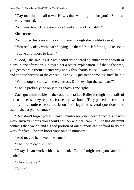"Gay man in a small town. How's that working out for you?" She was honestly worried.

Zach was, too. "There are a lot of kinks to work out still."

She snorted.

Zach rolled his eyes at the ceiling even though she couldn't see it.

"You really okay with that? Staying out there? You left for a good reason."

"I have a lot more to learn."

"Good," she said, as if Zach hadn't just altered an entire year's worth of plans in one afternoon. He owed her a better explanation. "If that's the case, you get to brainstorm a better way to fix this charity cause. I want to do it and not just because of the cancer kids box—I just need some logistical help."

"Fair enough. Start with the contract. Did they sign the standard?"

"That's probably the only thing that's gone right…"

Zach got comfortable on the couch and talked Baliey through the details of her customer's crazy requests for nearly two hours. They parsed the contract line-by-line, conference called Jason from legal for several questions, and established a plan of attack.

"Bee, don't forget you still have Jennifer up your sleeve. Since it's charity work anyway I think you should call her and her team up. She has different contacts than we do and a good portion of our support can't afford to do the work for free. She can boost your on-site numbers."

"And maybe help keep me sane."

"That too." Zach smiled.

"Okay. I can work with this—thanks Zach. I might text you later in a panic."

"I live to serve."

"Later."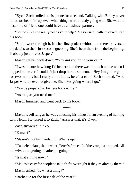"Bye." Zach smiled at his phone for a second. Talking with Baliey never failed to cheer him up, even when things were already going well. She was the best kind of friend one could have as a business partner.

"Sounds like she really needs your help." Mason said, half-involved with his book.

"She'll work through it. It's her first project without me there to oversee the details so she's just second guessing. She's been there from the beginning. Probably just misses Jasper."

Mason set his book down. "Why *did* you bring your cat?"

"I wasn't sure how long I'd be here and there wasn't much notice when I hopped in the car. I couldn't just drop her on someone. 'Hey I might be gone for two months but I really don't know, here's a cat.'" Zach smirked, "And Jasper would never forgive me. She likes going where I go."

"You're prepared to be here for a while."

"As long as you need me."

Mason hummed and went back to his book.

\*\*\*\*

Mason's cell rang as he was collecting his things for an evening of hunting with Helen. He tossed it to Zach. "Answer that, it's Owen."

Zach answered it. "Yo."

"Z-man?"

"Mason's got his hands full. What's up?"

"Canceled plans, that's what! Peter's first calf of the year just dropped. All the wives are getting a barbeque going."

"Is that a thing now?"

"Makes it easy for people to take shifts overnight if they're already there."

Mason asked, "Is what a thing?"

"Barbeque for the first calf of the year?"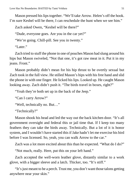Mason pressed his lips together. "We'll take Arrow. Helen's off the hook. I'm sure Keshel will be there, I can reschedule the hunt when we see him."

Zach asked Owen, "Keshel will be there?"

"Dude, everyone goes. Are you in the car yet?"

"We're going. Chill-pill. See you in twenty."

"Later"

Zach tried to stuff the phone in one of pouches Mason had slung around his hips but Mason swiveled, "Not that one, it's got raw meat in it. Put it in my jeans. Front."

Mason probably didn't mean for his hip thrust to be overtly sexual but Zach took in the full view. He stilled Mason's hips with his free hand and slid the phone in with one finger. He licked his lips. Looked up. He caught Mason looking away. Zach didn't push it. "The birds travel in boxes, right?"

"Yeah they're both set up in the back of the Jeep."

"Can I carry Arrow?"

"Well, technically no. But…"

"Technically?"

Mason shook his head and led the way out the back kitchen door. "It's all government oversight and federal this or jail time that. If I keep too many feathers they can take the birds away. Technically. But a lot of it is honor system, and I wouldn't have started this if Jake hadn't let me exercise his bird before I was licensed. So, yeah, you can walk Arrow to the car."

Zach was a lot more excited about this than he expected. "What do I do?"

"Not much, really. Here, put this on your left hand."

Zach accepted the well-worn leather glove, distantly similar to a work glove, with a bigger sleeve and a latch. Thicker, too. "It's stiff."

"It's just meant to be a perch. Trust me, you don't want those talons getting anywhere near your skin."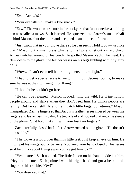"Even Arrow's?"

"Your eyeballs will make a fine snack."

"Eew." The wooden structure in the backyard that functioned as a holding pen was called a mews, Zach learned. He squeezed into Arrow's smaller half behind Mason, shut the door, and accepted a small piece of meat.

"Just pinch that in your glove there so he can see it. Hold it out—just like that." Mason put a small brass whistle to his lips and let out a sharp chirp. Arrow twitched around on his perch. He spotted Mason. Zach. The meat. He flew down to the glove, the leather jesses on his legs tinkling with tiny, tiny bells.

"Wow… I can't even tell he's sitting there, he's so light."

"I had to get a special scale to weigh him, four decimal points, to make sure he was at the right weight for flying."

"I thought he couldn't go free."

"He can't be released." Mason nodded. "Into the wild. He'll just follow people around and starve when they don't feed him. He thinks people are family. But he can still fly and he'll catch little bugs. Sometimes." Mason manipulated Zach's fingers so that Arrow's leather jesses crossed between his fingers and lay across his palm. He tied a lead and hooked that onto the sleeve of the glove. "Just hold that still with your last two fingers."

Zach carefully closed half a fist. Arrow rocked on the glove. "He doesn't look stable."

"The glove is a lot bigger than his little feet. Just keep an eye on him. He might put his wings out for balance. You keep your hand closed on his jesses so if he thinks about flying away you've got him, ok?"

"Yeah, sure." Zach nodded. The little falcon on his hand nodded at him. "Hey, that's cute." Zach pointed with his right hand and got a beak in his finger for his trouble. "Ow!"

"You deserved that."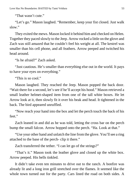"That wasn't cute."

"Let's go." Mason laughed. "Remember, keep your fist closed. Just walk slow."

They exited the mews. Mason locked it behind him and checked on Helen. Together they paced slowly to the Jeep. Arrow rocked a little on the glove and Zach was still amazed that he couldn't feel his weight at all. The kestrel was smaller than his cell phone, and all feathers. Arrow peeped and twitched his head around.

"Is he afraid?" Zach asked.

"Just cautious. He's smaller than everything else out in the world. It pays to have your eyes on everything."

"This is so cool."

Mason laughed. They reached the Jeep. Mason popped the back door. "Wait there for a second, let's see if he'll accept his hood." Mason retrieved a small leather helmet-shaped item from one of the tall white boxes. He let Arrow look at it, then slowly fit it over his beak and head. It tightened in the back. The bird appeared unruffled.

"Now reach your hand into the box and let the perch touch the back of his feet."

Zach leaned in and did as he was told, letting the cross bar on the perch bump the small falcon. Arrow hopped onto the perch. "Ha. Look at that."

"Use your other hand and unlatch the line from the glove. You'll see a ring attached to the base of the perch- clip it there."

Zach transferred the tether. "I can let go of the strings?"

"That's it." Mason took the leather glove and closed up the white box. Arrow peeped. His bells tinkled.

It didn't take even ten minutes to drive out to the ranch. A bonfire was already lit and a long iron grill stretched over the flames. It seemed like the whole town turned out for the party. Cars lined the road on both sides. A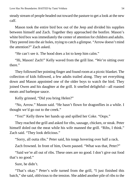steady stream of people headed out toward the pasture to get a look at the new calf.

Mason took the entire bird box out of the Jeep and divided his supplies between himself and Zach. Together they approached the bonfire. Mason's white bird box was immediately the center of attention for children and adults. They peered into the air holes, trying to catch a glimpse. "Arrow doesn't mind the attention?" Zach asked.

"He can't see it. The hood does a lot to keep him calm."

"Hi, Mason! Zach!" Kelly waved from the grill line. "We're sitting over there."

They followed her pointing finger and found room at a picnic blanket. The collection of kids followed, a few adults trailed along. They set everything down and Mason appointed one of the older boys to watch the bird. They joined Owen and his daughter at the grill. It smelled delightful—all roasted meats and barbeque sauce.

Kelly grinned, "Did you bring Helen?"

"No, Arrow." Mason said. "He hasn't flown for dragonflies in a while. I thought we'd go out to the creek."

"Yes!" Kelly threw her hands up and spilled her Coke. "Oops."

They reached the grill and asked for ribs, sausage, chicken, or steak. Peter himself doled out the meat while his wife manned the grill. "Ribs, I think." Zach said. "They look delicious."

"Sorry, all outta ribs." Peter said, his tongs hovering over half a rack.

Zach frowned. In front of him, Owen paused. "What was that, Peter?"

"Said we're all out of ribs. These ones are no good. I don't give out food that's no good."

Sure, he didn't.

"That's okay." Peter's wife turned from the grill, "I just finished this batch," she said, oblivious to the tension. She added another pile of ribs to the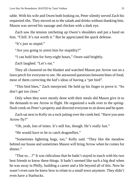table. With his wife and Owen both looking on, Peter silently served Zach his requested ribs. They moved on to the salads and drinks without thanking him. Mason was served his sausage and chicken with a dark eye.

Zach saw the tension ratcheting up Owen's shoulders and put a hand on him. "Chill. It's not worth it." But he appreciated the quick defense.

"It's just so stupid."

"Are you going to arrest him for stupidity?"

"I can hold him for forty-eight hours," Owen said brightly.

Zach laughed. "Let's eat."

They all clustered on the blanket and watched Mason put Arrow out on a lawn perch for everyone to see. He answered questions between bites of food, most of them correcting the kid's ideas of having a "pet bird".

"This bird bites," Zach interjected. He held up his finger to prove it. "So don't get too close."

Only when they were mostly done with their meals did Mason give in to the demands to see Arrow in flight. He organized a walk over to the springflush creek on Peter's property and directed everyone to sit down and be quiet.

Zach sat next to Kelly on a rock jutting over the creek bed. "Have you seen Arrow fly?"

"Oh, yeah, lots of times. It's still fun, though. He's really fast."

"He would have to be to catch dragonflies."

"Sometimes lightning bugs, too," Kelly said. "They like the meadow behind our house and sometimes Mason will bring Arrow when he comes for dinner."

"That so…?" It was ridiculous that he hadn't stayed in touch with his two best friends to know these things. It hadn't seemed like such a big deal when he was away in Philly, building a career and a life beyond all of this. Now he wasn't even sure he knew how to relate to a small town anymore. They didn't even have a Starbucks.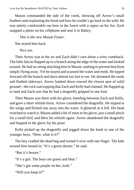Mason commanded the side of the creek, showing off Arrow's small feathers and explaining the hood and how he couldn't go back to the wild. He was utterly comfortable out here in the forest with a raptor on his fist. Zach snapped a photo on his cellphone and sent it to Baliey.

*This is the new Mason Foster.*

She texted him back.

*Nice ass.*

Then Arrow was in the air and Zach didn't care about a witty comeback. The little falcon flapped up to a branch along the edge of the water and looked around. He had no string attaching him to Mason, nothing to prevent him from simply flying away. Yet he stayed and scanned the water and reeds. He tipped forward off the branch and dove almost too fast to see. He skimmed the reeds and flashed sideways. Arrow banked down toward the closest spot of solid ground—the rock outcropping that Zach and Kelly had claimed. He flapped up to land and Zach saw that he had a dragonfly gripped in one foot.

Then Mason was there with his glove, kneeling between Zach and Kelly, and gave a short whistle burst. Arrow considered the dragonfly. He nipped at the wings and flicked one away into the water. It glittered as it fell. His head twitched to watch it. Mason added a bit of meat to his glove, just a small pinch for a small bird, and blew his whistle again. Arrow abandoned the dragonfly and hopped to the glove for his prize.

Kelly picked up the dragonfly and jogged down the bank to one of the younger boys, "Here, what is it?"

The boy cradled the dead bug and turned it over with one finger. The kids around him leaned in. "It's a green darner," he said.

"But it's brown"

"It's a girl. The boys are green and blue."

"She's got some purple on her, look."

"Will you keep it?"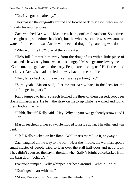"No, I've got one already."

They passed the dragonfly around and looked back to Mason, who smiled. "Ready for another one?"

Zach watched Arrow and Mason catch dragonflies for an hour. Sometimes he caught one, sometimes he didn't, but the whole spectacle was awesome to watch. In the end, it was Arrow who decided dragonfly catching was done.

"Why won't he fly?" one of the kids asked.

"He's full. I tempt him away from the dragonflies with a little piece of meat, and a hawk only hunts when he's hungry." Mason gestured everyone up. "Come on, let's get back to the party. People are missing us." He fit the hood back over Arrow's head and led the way back to the bonfire.

"Hey, let's check out this new calf we're partying for."

"Sure, yeah," Mason said, "Let me put Arrow back in the Jeep for the night. It's getting dark."

Kelly jumped to help, so Zach fetched the three of them dessert, root beer floats in mason jars. He bent the straw on his to sip while he walked and found them both at the car.

"Ohhh, floats!" Kelly said. "Hey! Why do you two get bendy straws and I don't?"

Mason reached for her straw. He flipped it upside down. The other end was bent.

"Oh." Kelly sucked on her float. "Well that's more like it, anyway."

Zach laughed all the way to the barn. Near the middle, the warmest spot, a small cluster of people tried to lean over the stall half-door and get a look. They didn't even see the hay in the stall when Sally's bright voice barked from the barn door. "KELLY!"

Everyone jumped. Kelly whipped her head around. "What'd I do?"

"Don't get smart with me."

"Mom, I'm serious. I've been here the whole time."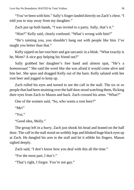"You've been with him." Sally's finger landed directly on Zach's chest. "I told you to stay away from my daughter."

Zach put up both hands, "I was invited to a party, Sally, that's it."

"Him?" Kelly said, clearly confused. "What's wrong with him?"

"He's tainting you, you shouldn't hang out with people like him. I've taught you better than that."

Kelly sipped on her root beer and got sarcastic in a blink. "What exactly is he, Mom? A nice guy helping his friend out?"

Sally grabbed her daughter's free hand and almost spat, "He's a *homosexual.*" She said the word like she was afraid it would come alive and bite her. She spun and dragged Kelly out of the barn. Kelly saluted with her root beer and jogged to keep up.

Zach rolled his eyes and turned to see the calf in the stall. The six or so people that had been straining over the half door stood watching them, flicking their eyes from Zach to Mason and back. Zach crossed his arms. "What?"

One of the women said, "So, who wants a root beer?"

"Me!"

"Yes."

"Good idea, Molly."

The group left in a hurry. Zach just shook his head and leaned on the half door. The calf in the stall stood on wobbly legs and blinked huge black eyes up at Zach. He dangled his arm in the stall and let it nibble his fingers. Mason sighed deeply.

Zach said, "I don't know how you deal with this all the time."

"For the most part, I don't."

"That's right, I forgot. You're not gay."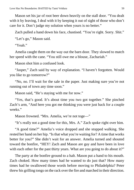Mason set his jar of root beer down heavily on the stall door. "You dealt with it by leaving, I deal with it by keeping it out of sight of those who don't care for it. Don't judge my solution when yours is no better."

Zach pulled a hand down his face, chastised. "You're right. Sorry. Shit."

"Let's go," Mason said.

"Yeah"

Amelia caught them on the way out the barn door. They slowed to match her speed with the cane. "You still owe me a blouse, Zachariah."

Mason shot him a confused look.

"Jasper," Zach said by way of explanation. "I haven't forgotten. Would you like to go tomorrow?"

"No, no. I'll wait for the sale in the paper. Just making sure you're not running out of town any time soon."

Mason said, "He's staying with me for now."

"Yes, that's good. It's about time you two got together." She pinched Zach's arm, "And here you got me thinking you were just back for a couple weeks."

Mason frowned. "Mrs. Amelia, we're not toge—"

"It's really not a good time for this, Mrs. A." Zach spoke right over him.

"A good time?" Amelia's voice dropped and she stopped walking. She rested her hand on her hip. "Is that what you're waiting for? A time that works better for you?" She didn't wait for an answer. Amelia turned and shouted toward the bonfire, "HEY! Zach and Mason are gay and have been in love with each other for the past thirty years. What are you going to do about it?"

The party at the bonfire ground to a halt. Mason put a hand to his mouth. Zach choked. How many times had he wanted to do just that? How many times had he swallowed those words before moving to Philadelphia? Peter threw his grilling tongs on the rack over the fire and marched in their direction.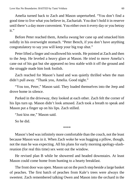Amelia turned back to Zach and Mason unperturbed. "You don't find a good time to live what you believe in, Zachariah. You don't hold it in reserve until there's a day more convenient. You either own it every day or you betray it."

Before Peter reached them, Amelia swung her cane up and smacked him solidly in his overweight stomach. "Peter Bench, if you don't have anything congratulatory to say you will keep your big trap shut."

Peter lifted a finger and swallowed his words. He pointed at Zach and then to the Jeep. He leveled a heavy glare at Mason. He tried to move Amelia's cane out of his gut but she appeared no less stable with it off the ground and the struggle made him look foolish.

Zach reached for Mason's hand and was quietly thrilled when the man didn't pull away. "Thank you, Amelia. Good night."

"You too, Peter," Mason said. They loaded themselves into the Jeep and drove home in silence.

Parked in the driveway, they looked at each other. Zach felt the corner of his lips turn up. Mason didn't look amused. Zach took a breath to speak and Mason put a finger up on his lips. Zach stilled.

"Just kiss me," Mason said.

So he did.

\*\*\*\*

Mason's bed was infinitely more comfortable than the couch, not the least because Mason was in it. When Zach woke he was hugging a pillow, though, not the man he was expecting. All his plans for early morning apology-slashreunion (for real this time) sex went out the window.

He revised plan B while he showered and headed downstairs. At least Mason could come home from hunting to a hearty breakfast.

The front door was open. Mason sat on the porch step beside a large basket of peaches. The first batch of peaches from Kale's trees were always the sweetest. Zach remembered talking Owen and Mason into the orchard in the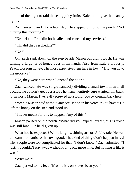middle of the night to raid those big juicy fruits. Kale didn't give them away lightly.

Zach saved plan B for a later day. He stepped out onto the porch. "Not hunting this morning?"

"Keshel and Franklin both called and canceled my services."

"Oh, did they reschedule?"

"No."

Oh. Zach sank down on the step beside Mason but didn't touch. He was turning a large jar of honey over in his hands. Also from Kale's property. Peach blossom honey. The most expensive item here in town. "Did you go to the grocery?"

"No, they were here when I opened the door."

Zach winced. He was single-handedly dividing a small town in two, all because he couldn't get over a love he wasn't entirely sure wanted him back. "I'm sorry, Mason. I've really screwed up a lot for you by coming back here."

"Yeah," Mason said without any accusation in his voice. "You have." He left the honey on the step and stood up.

"I never meant for this to happen. Any of this."

Mason paused on the porch. "What did you expect, exactly?" His voice was still low, like he'd given up.

What had he expected? White knights, shining armor. A fairy tale. He was too damn romantic for his own good. That kind of thing didn't happen in real life. People were too complicated for that. "I don't know," Zach admitted. "I just… I couldn't stay away without trying one more time. But nothing is like it was."

"Why me?"

Zach jerked to his feet. "Mason, it's only ever been you."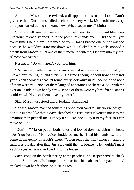And then Mason's face twisted, a disappointed distrustful look. "Don't give me that. Our moms called each other every week. Mom told me every time you started dating someone new. What, seven guys? Eight?"

"Did she tell you they were all built like you? Brown hair and blue eyes like yours?" Zach stepped up to the porch, his hands open. "Did she tell you every time I held them I dreamed of you? How I kicked one out of my bed because he wouldn't stare me down while I fucked him." Zach stopped a breath from Mason. "I let one of them move in with me, I let him into my life. Almost two years."

Resentful. "So why aren't you with him?"

"Because no matter how many times we had sex his eyes never turned grey like a storm rolling in, and every single time I thought about how he wasn't you." Zach shook his head. "I found every look-alike in Philadelphia and none of them were you. None of them laughed at potatoes or shared a look with me over an upside-down bendy straw. None of them were my best friend since I could crawl. None of them have my heart."

Still, Mason just stood there, looking abandoned.

"Please. Mason. We had something once. You can't tell me you're not gay, don't insult me like that." Zach clenched his fists. "But if you're not into me anymore then just tell me. Just say it so I can pack. Say it to my face so I can move on—"

"Don't—" Mason put up both hands and looked down, shaking his head. "Don't go just yet." His voice shuddered and he fisted his hands. Let them come down gently on Zach's chest. "Owen reads the will tomorrow and the funeral is the day after that. Just stay until then… Please." He wouldn't meet Zach's eyes as he walked back into the house.

Zach stood on the porch staring at the peaches until Jasper came to check on him. She repeatedly bumped her nose into his calf until he gave in and tracked down her feathers-on-a-string toy.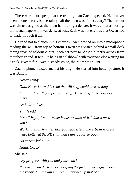There were more people at the reading than Zach expected. He'd never been to one before, but certainly half the town wasn't necessary? The turnout was almost as good at the town hall during a debate. It was about as boring, too. Legal paperwork was dense at best; Zach was not envious that Owen had to wade through it all.

He tried not to slouch in his chair as Owen droned on into a microphone reading the will from top to bottom. Owen was seated behind a small desk facing rows of foldout chairs. Zach sat next to Mason directly across from their best friend. It felt like being in a fishbowl with everyone else waiting for a trick. Except for Owen's steady voice, the room was silent.

Zach's phone buzzed against his thigh. He started into better posture. It was Baliey.

*How's things?*

*Dull. Never knew this read the will stuff could take so long.*

*Usually doesn't for personal stuff. How long have you been there?*

*An hour at least.*

*That's odd.*

*It's all legal, I can't make heads or tails of it. What's up with you?*

*Working with Jennifer like you suggested. She's been a great help. Better at the PR stuff than I am. So far so good.*

*No cancer kid guilt?*

*Haha. No. :P*

She said.

*Any progress with you and your man?*

*It's complicated. He's been keeping the fact that he's gay under the radar. My showing up really screwed up that plan.*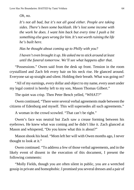*Oh, no.*

*It's not all bad, but it's not all good either. People are taking sides. There's been some backlash. He's lost some income with the work he does. I want him back but every time I push a bit something else goes wrong for him. It's not worth ruining the life he's built here.*

*Has he thought about coming up to Philly with you?*

*I haven't even brought it up. He asked me to stick around at least until the funeral tomorrow. We'll see what happens after that.*

"Possessions." Owen said from the desk up front. Tension in the room crystallized and Zach felt every hair on his neck rise. He glanced around. Everyone sat up straight and silent. Holding their breath. What was going on?

"All of my earnings, every dollar and object to my name, every asset under my legal control is hereby left to my son, Mason Thomas Gilbert."

The quiet was crisp. Then Peter Bench yelled, "WHAT?"

Owen continued, "There were several verbal agreements made between the citizens of Edenburg and myself. This will supersedes all such agreements."

A woman in the crowd scowled. "That can't be right."

Owen's face was neutral but Zach saw a crease forming between his eyebrows. He knew what was coming and he didn't like it. Zach glanced at Mason and whispered, "Do you know what this is about?"

Mason shook his head. "Mom left her will with Owen months ago, I never thought to look at it."

Owen continued. "To address a few of those verbal agreements, and in the likely event of dissent in the execution of this document, I present the following comments:

"Molly Fields, though you are often silent in public, you are a wretched gossip in private and homophobic. I promised you several dresses and a pair of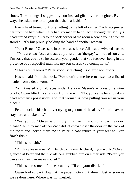shoes. These things I suggest my son instead gift to your daughter. By the way, she asked me to tell you that she's a lesbian."

Every head turned to Molly, sitting to the left of center. Zach recognized her from the barn when Sally had stormed in to collect her daughter. Molly's head turned very slowly to the back corner of the room where a young woman stood quietly but proudly holding the hand of another woman.

"Peter Bench," Owen said into the dead silence. All heads swiveled back to him. "You are two-faced and actively afraid that 'the gay' will rub off on you. I'm sorry that you're so insecure in your gender that you feel even being in the presence of a respectful man like my son causes you conniptions."

"This is outrageous." Peter stood, scratching his chair back loudly.

Keshel said from the back, "We didn't come here to listen to a list of insults from a dead woman."

Zach twisted around, eyes wide. He saw Mason's expression shutter coldly. Owen lifted his attention from the will. "No, you came here to take a dead woman's possessions and that woman is now putting you all in your place."

Peter knocked his chair over trying to get out of the aisle. "I don't have to stay here and take this."

"Yes, you do," Owen said mildly. "Richard, if you could bar the door, please." A uniformed officer Zach didn't know closed the doors in the back of the room and locked them. "And Peter, please return to your seat so I can finish this"

"This is bullshit."

"Phillip, please assist Mr. Bench to his seat. Richard, if you would." Owen glanced at Peter and the two officers grabbed him on either side. "Peter, you can sit or they can make you sit."

"This is harassment. Police brutality. I'll call your district."

Owen looked back down at the paper. "Go right ahead. Just as soon as we're done here. Where was I… Keshel…"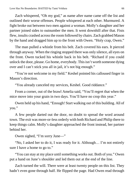Zach whispered, "Oh my god," as name after name came off the list and outlined their worse offenses. People whispered at each other. Murmured. A fight broke out between two men against a woman. Molly's daughter and her partner joined sides to outnumber the men. It went downhill after that. Fists flew, insults crashed across the room followed by chairs. Zach grabbed Mason by the hand and dragged him up to the front with Owen. "Holy crap, Owen."

The man pulled a whistle from his belt. Zach covered his ears. It pierced through anyway. When the ringing stopped there was only silence, all eyes on the front. Owen tucked his whistle back in his belt. "Richard if you could unlock the door, please. Go home, everybody. This isn't worth someone dying over and I can't stick you all in jail, it's not big enough."

"You're not welcome in my field." Keshel pointed his calloused finger in Mason's direction.

"You already canceled my services, Keshel. Good riddance."

From a corner, out of the brawl Amelia said, "You'll regret that when the mice move into your grain in two days. You'll have no crop this year."

Owen held up his hand, "Enough! Start walking out of this building. All of you."

A few people darted out the door, no doubt to spread the word around town. The exit was more-or-less orderly with both Richard and Philip there to keep things calm. Molly's daughter approached the front instead, her partner behind her.

Owen sighed, "I'm sorry June—"

"No, I asked her to do it, I was ready for it. Although… I'm not entirely sure I have a home to go to."

"You can stay at my place until something works out. Both of you." Owen put a hand on June's shoulder and led them out at the end of the line.

Zach turned the will. There were at least twenty people on this list. They hadn't even gone through half. He flipped the page. Had Owen read through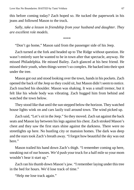this before coming today? Zach hoped so. He tucked the paperwork in his jeans and followed Mason to the truck.

*Sally, take a lesson in friendship from your husband and daughter. They are excellent role models.*

\*\*\*\*

"Don't go home," Mason said from the passenger side of his Jeep.

Zach turned at the fork and headed up to The Ridge without question. He wasn't entirely sure he wanted to be in town after that spectacle, anyway. He missed Philadelphia. He missed Bailey. Zach glanced at his best friend. He missed their youth, when things weren't so complex. He backed into their spot under the tree.

Mason got out and stood looking over the town, hands in his pockets. Zach opened the back of the Jeep so they could sit, but Mason didn't seem to notice. Zach touched his shoulder. Mason was shaking. It was a small tremor, but it felt like his whole body was vibrating. Zach hugged him from behind and watched the town below.

They stood like that until the sun stepped below the horizon. They watched house lights wink on and cars lazily trail around town. The wind picked up.

Zach said, "Let's sit in the Jeep." So they moved. Zach sat against the back seats and Mason lay between his legs against his chest. Zach stroked Mason's chest and they saw the first stars shine against the darkness. There were no streetlights up here. No bustling city or mansion homes. The dark was deep and the stars took Zach's breath away. "I forgot how beautiful the sky was out here."

Mason trailed his hand down Zach's thigh. "I remember coming up here, sneaking out of our houses. We'd push your truck for a half mile so your mom wouldn't hear it start up."

Zach ran his thumb down Mason's jaw. "I remember laying under this tree in the bed for hours. We'd lose track of time."

"Help me lose track again."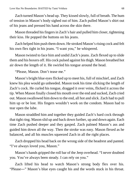Zach turned Mason's head up. They kissed slowly, full of breath. The hum of tension in Mason's body sighed out of him. Zach pulled Mason's shirt out of his jeans and pressed his hand across the skin there.

Mason threaded his fingers in Zach's hair and pulled him closer, tightening their kiss. He popped the buttons on his jeans.

Zach helped him push them down. He stroked Mason's rising cock and felt his own flex tight in his jeans. "I want you," he whispered.

Mason twisted to face him and undid Zach's jeans. Zach flexed up to slide them and his boxers off. His cock pulsed against his thigh. Mason breathed hot air down the length of it. He swirled his tongue around the head.

"Please, Mason. Don't tease me."

Mason's bright blue eyes flicked up to meet his, full of mischief, and Zach knew his plea would go unheeded. Mason took his time slicking the length of Zach's cock. He curled his tongue, dragged it over veins, flicked it across the tip. When Mason finally closed his mouth over the end and sucked, Zach cried out. Mason swallowed him down to the end, all hot and slick. Zach had to pull him up or be lost. His fingers wouldn't work on the condom. Mason had to tear open the lube.

Mason straddled him and together they guided Zach's hard cock through that tight ring. Mason slid up and back down further, up and down again. Each time Zach pushed deeper and they gasped. Zach palmed Mason's ass and guided him down all the way. Then the stroke was easy. Mason flexed as he balanced, and all his muscles squeezed Zach in all the right places.

Zach dropped his head back on the wrong side of the headrest and panted. "I've always loved you, Mason."

Mason's hands gripped the roll bar of the Jeep overhead. "I never doubted you. You've always been steady. I can rely on you."

Zach lifted his head to watch Mason's strong body flex over his. "Please―" Mason's blue eyes caught his and the words stuck in his throat.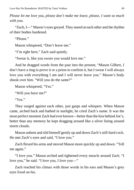*Please let me love you, please don't make me leave, please, I want so much with you.*

"Zach, I—" Mason's eyes greyed. They stared at each other and the rhythm of their bodies hardened.

"Please."

Mason whispered, "Don't leave me."

"I'm right here," Zach said quietly.

"Swear it, like you swore you would love me."

And he dragged words from the past into the present, "Mason Gilbert, I don't have a ring to prove it or a priest to confirm it, but I swear I will always love you with everything I am and I will never leave you." Mason's body shook over him. "Will you do the same?"

```
Mason whispered, "Yes."
```
"Will you have me?"

"Yes."

They surged against each other, just gasps and whispers. When Mason came, arched back and bathed in starlight, he cried Zach's name. It was the most perfect moment Zach had ever known—better than the kiss behind Joe's, better than any memory he kept dragging around like a silver lining around storm clouds.

Mason unbent and slid himself gently up and down Zach's still-hard cock. He met Zach's eyes and said, "I love you."

Zach flexed his arms and moved Mason more quickly up and down. "Tell me again."

"I love you." Mason arched and tightened every muscle around Zach. "I love you," he said. "I love you, I love you—"

Zach reached his climax with those words in his ears and Mason's grey eyes fixed on his.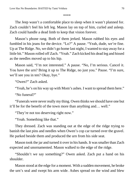## \*\*\*\*

The Jeep wasn't a comfortable place to sleep when it wasn't planned for. Zach couldn't feel his left leg. Mason lay on top of him, curled and asleep. Zach could handle a dead limb to keep that vision forever.

Mason's phone rang. Both of them jerked. Mason rubbed his eyes and fumbled in his jeans for the device. "Lo?" A pause. "Yeah, dude, we're fine. Up at The Ridge. No, we didn't go home last night, I wanted to stay away for a little bit." Mason rolled off Zach. "Yeah." Zach kicked his dead leg and hissed as the needles moved up to his hip.

Mason said, "I'm not interested." A pause. "No, I'm serious. Cancel it. You have the urn? Bring it up to The Ridge, no just you." Pause. "I'm sure, we'll see you in ten? Okay, bye."

"Owen?" Zach asked.

"Yeah, he's on his way up with Mom's ashes. I want to spread them here."

"No funeral?"

"Funerals were never really my thing. Owen thinks we should have one but it'll be for the benefit of the town more than anything and… well."

"They're not too deserving right now."

"Yeah. Something like that."

They dressed. Zach was standing out at the edge of the ridge trying to banish the last pins and needles when Owen's cop car turned over the gravel. He parked beside them and produced the urn from his side seat.

Mason took the jar and turned it over in his hands. It was smaller than Zach expected and unornamented. Mason walked to the edge of the ridge.

"Shouldn't we say something?" Owen asked. Zach put a hand on his shoulder.

Mason stood at the edge for a moment. With a sudden movement, he broke the urn's seal and swept his arm wide. Ashes spread on the wind and blew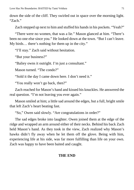down the side of the cliff. They swirled out in space over the morning light. "Zach."

Zach stepped up next to him and stuffed his hands in his pockets. "Yeah?"

"There were no women, that was a lie." Mason glanced at him. "There's been no one else since you." He looked down at the town. "But I can't leave. My birds… there's nothing for them up in the city."

"I'll stay." Zach said without hesitation.

"But your business?"

"Baliey owns it outright. I'm just a consultant."

Mason turned. "The condo?"

"Sold it the day I came down here. I don't need it."

"You really won't go back, then?"

Zach reached for Mason's hand and kissed his knuckles. He answered the real question. "I'm not leaving you ever again."

Mason smiled at him; a little sad around the edges, but a full, bright smile that left Zach's heart beating fast.

"So," Owen said slowly. "Are congratulations in order?"

The sad edges broke into laughter. Owen joined them at the edge of the ridge and wrapped an arm around either of their necks. Behind his back Zach held Mason's hand. As they took in the view, Zach realized why Mason's hawks didn't fly away when he let them off the glove. Being with him, experiencing life at his side, was far more fulfilling than life on your own. Zach was happy to have been baited and caught.

## **THE END**